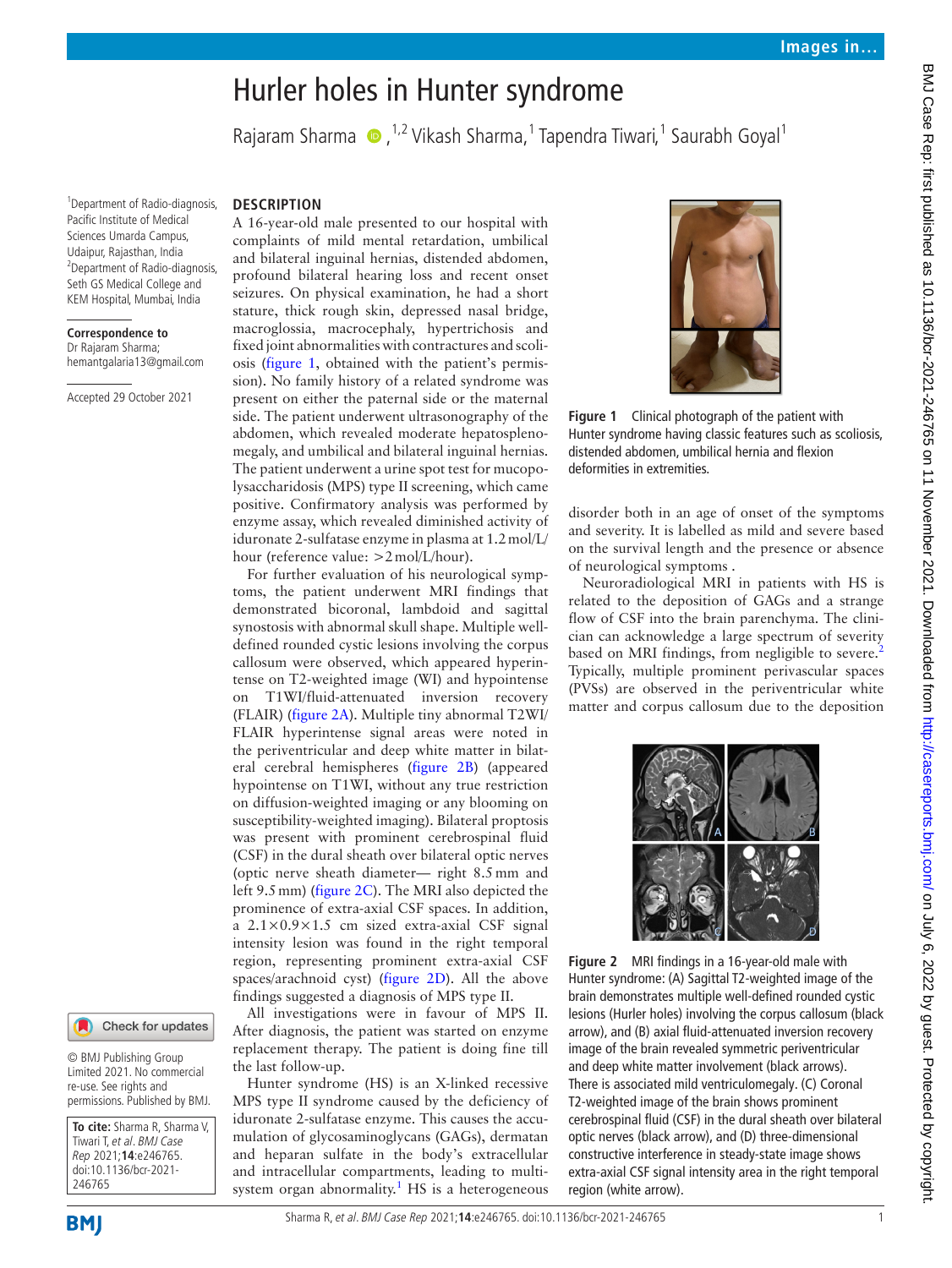# Hurler holes in Hunter syndrome

RajaramSharma (D, <sup>1,2</sup> Vikash Sharma, <sup>1</sup> Tapendra Tiwari, <sup>1</sup> Saurabh Goyal<sup>1</sup>

1 Department of Radio-diagnosis, Pacific Institute of Medical Sciences Umarda Campus, Udaipur, Rajasthan, India <sup>2</sup>Department of Radio-diagnosis, Seth GS Medical College and KEM Hospital, Mumbai, India

#### **Correspondence to**

Dr Rajaram Sharma; hemantgalaria13@gmail.com

Accepted 29 October 2021

## **DESCRIPTION**

A 16-year-old male presented to our hospital with complaints of mild mental retardation, umbilical and bilateral inguinal hernias, distended abdomen, profound bilateral hearing loss and recent onset seizures. On physical examination, he had a short stature, thick rough skin, depressed nasal bridge, macroglossia, macrocephaly, hypertrichosis and fixed joint abnormalities with contractures and scoliosis ([figure](#page-0-0) 1, obtained with the patient's permission). No family history of a related syndrome was present on either the paternal side or the maternal side. The patient underwent ultrasonography of the abdomen, which revealed moderate hepatosplenomegaly, and umbilical and bilateral inguinal hernias. The patient underwent a urine spot test for mucopolysaccharidosis (MPS) type II screening, which came positive. Confirmatory analysis was performed by enzyme assay, which revealed diminished activity of iduronate 2-sulfatase enzyme in plasma at 1.2mol/L/ hour (reference value: >2mol/L/hour).

For further evaluation of his neurological symptoms, the patient underwent MRI findings that demonstrated bicoronal, lambdoid and sagittal synostosis with abnormal skull shape. Multiple welldefined rounded cystic lesions involving the corpus callosum were observed, which appeared hyperintense on T2-weighted image (WI) and hypointense on T1WI/fluid-attenuated inversion recovery (FLAIR) ([figure](#page-0-1) 2A). Multiple tiny abnormal T2WI/ FLAIR hyperintense signal areas were noted in the periventricular and deep white matter in bilateral cerebral hemispheres ([figure](#page-0-1) 2B) (appeared hypointense on T1WI, without any true restriction on diffusion-weighted imaging or any blooming on susceptibility-weighted imaging). Bilateral proptosis was present with prominent cerebrospinal fluid (CSF) in the dural sheath over bilateral optic nerves (optic nerve sheath diameter— right 8.5mm and left 9.5mm) [\(figure](#page-0-1) 2C). The MRI also depicted the prominence of extra-axial CSF spaces. In addition, a 2.1×0.9×1.5 cm sized extra-axial CSF signal intensity lesion was found in the right temporal region, representing prominent extra-axial CSF spaces/arachnoid cyst) [\(figure](#page-0-1) 2D). All the above findings suggested a diagnosis of MPS type II.

All investigations were in favour of MPS II. After diagnosis, the patient was started on enzyme replacement therapy. The patient is doing fine till the last follow-up.

Hunter syndrome (HS) is an X-linked recessive MPS type II syndrome caused by the deficiency of iduronate 2-sulfatase enzyme. This causes the accumulation of glycosaminoglycans (GAGs), dermatan and heparan sulfate in the body's extracellular and intracellular compartments, leading to multi-system organ abnormality.<sup>[1](#page-1-0)</sup> HS is a heterogeneous



**Figure 1** Clinical photograph of the patient with Hunter syndrome having classic features such as scoliosis, distended abdomen, umbilical hernia and flexion deformities in extremities.

<span id="page-0-0"></span>disorder both in an age of onset of the symptoms and severity. It is labelled as mild and severe based on the survival length and the presence or absence of neurological symptoms .

Neuroradiological MRI in patients with HS is related to the deposition of GAGs and a strange flow of CSF into the brain parenchyma. The clinician can acknowledge a large spectrum of severity based on MRI findings, from negligible to severe.<sup>[2](#page-1-1)</sup> Typically, multiple prominent perivascular spaces (PVSs) are observed in the periventricular white matter and corpus callosum due to the deposition



<span id="page-0-1"></span>**Figure 2** MRI findings in a 16-year-old male with Hunter syndrome: (A) Sagittal T2-weighted image of the brain demonstrates multiple well-defined rounded cystic lesions (Hurler holes) involving the corpus callosum (black arrow), and (B) axial fluid-attenuated inversion recovery image of the brain revealed symmetric periventricular and deep white matter involvement (black arrows). There is associated mild ventriculomegaly. (C) Coronal T2-weighted image of the brain shows prominent cerebrospinal fluid (CSF) in the dural sheath over bilateral optic nerves (black arrow), and (D) three-dimensional constructive interference in steady-state image shows extra-axial CSF signal intensity area in the right temporal region (white arrow).

Check for updates

Limited 2021. No commercial re-use. See rights and permissions. Published by BMJ.

**To cite:** Sharma R, Sharma V, Tiwari T, et al. BMJ Case Rep 2021;**14**:e246765. doi:10.1136/bcr-2021- 246765